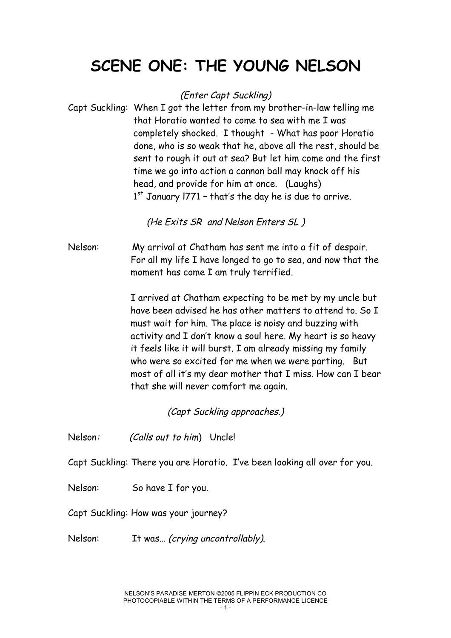## **SCENE ONE: THE YOUNG NELSON**

(Enter Capt Suckling)

Capt Suckling: When I got the letter from my brother-in-law telling me that Horatio wanted to come to sea with me I was completely shocked. I thought - What has poor Horatio done, who is so weak that he, above all the rest, should be sent to rough it out at sea? But let him come and the first time we go into action a cannon ball may knock off his head, and provide for him at once. (Laughs)  $1<sup>st</sup>$  January 1771 - that's the day he is due to arrive.

(He Exits SR and Nelson Enters SL )

Nelson: My arrival at Chatham has sent me into a fit of despair. For all my life I have longed to go to sea, and now that the moment has come I am truly terrified.

> I arrived at Chatham expecting to be met by my uncle but have been advised he has other matters to attend to. So I must wait for him. The place is noisy and buzzing with activity and I don't know a soul here. My heart is so heavy it feels like it will burst. I am already missing my family who were so excited for me when we were parting. But most of all it's my dear mother that I miss. How can I bear that she will never comfort me again.

> > (Capt Suckling approaches.)

Nelson: (Calls out to him) Uncle!

Capt Suckling: There you are Horatio. I've been looking all over for you.

Nelson: So have I for you.

Capt Suckling: How was your journey?

Nelson: It was... (crying uncontrollably).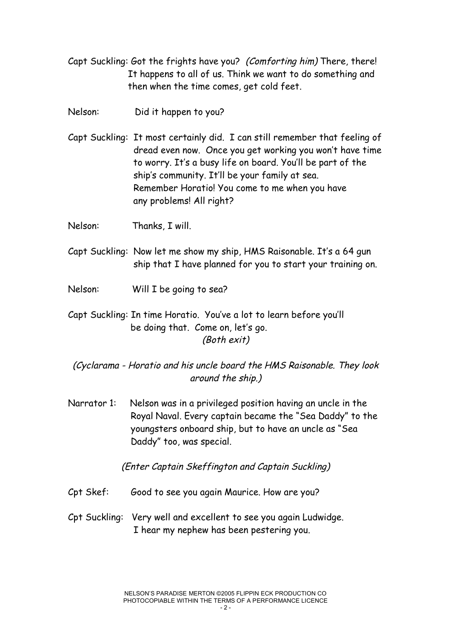- Capt Suckling: Got the frights have you? (Comforting him) There, there! It happens to all of us. Think we want to do something and then when the time comes, get cold feet.
- Nelson: Did it happen to you?
- Capt Suckling: It most certainly did. I can still remember that feeling of dread even now. Once you get working you won't have time to worry. It's a busy life on board. You'll be part of the ship's community. It'll be your family at sea. Remember Horatio! You come to me when you have any problems! All right?
- Nelson: Thanks, I will.
- Capt Suckling: Now let me show my ship, HMS Raisonable. It's a 64 gun ship that I have planned for you to start your training on.
- Nelson: Will I be going to sea?
- Capt Suckling: In time Horatio. You've a lot to learn before you'll be doing that. Come on, let's go. (Both exit)

(Cyclarama - Horatio and his uncle board the HMS Raisonable. They look around the ship.)

Narrator 1: Nelson was in a privileged position having an uncle in the Royal Naval. Every captain became the "Sea Daddy" to the youngsters onboard ship, but to have an uncle as "Sea Daddy" too, was special.

(Enter Captain Skeffington and Captain Suckling)

- Cpt Skef: Good to see you again Maurice. How are you?
- Cpt Suckling: Very well and excellent to see you again Ludwidge. I hear my nephew has been pestering you.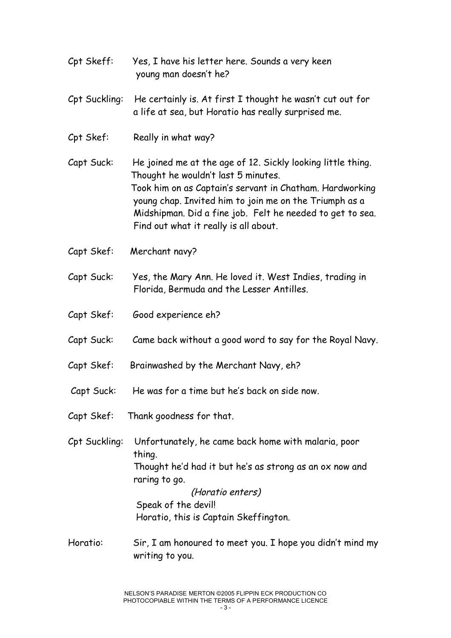- Cpt Skeff: Yes, I have his letter here. Sounds a very keen young man doesn't he?
- Cpt Suckling: He certainly is. At first I thought he wasn't cut out for a life at sea, but Horatio has really surprised me.
- Cpt Skef: Really in what way?

Capt Suck: He joined me at the age of 12. Sickly looking little thing. Thought he wouldn't last 5 minutes. Took him on as Captain's servant in Chatham. Hardworking young chap. Invited him to join me on the Triumph as a Midshipman. Did a fine job. Felt he needed to get to sea. Find out what it really is all about.

- Capt Skef: Merchant navy?
- Capt Suck: Yes, the Mary Ann. He loved it. West Indies, trading in Florida, Bermuda and the Lesser Antilles.
- Capt Skef: Good experience eh?
- Capt Suck: Came back without a good word to say for the Royal Navy.
- Capt Skef: Brainwashed by the Merchant Navy, eh?
- Capt Suck: He was for a time but he's back on side now.
- Capt Skef: Thank goodness for that.

Cpt Suckling: Unfortunately, he came back home with malaria, poor thing. Thought he'd had it but he's as strong as an ox now and raring to go. (Horatio enters) Speak of the devil! Horatio, this is Captain Skeffington.

Horatio: Sir, I am honoured to meet you. I hope you didn't mind my writing to you.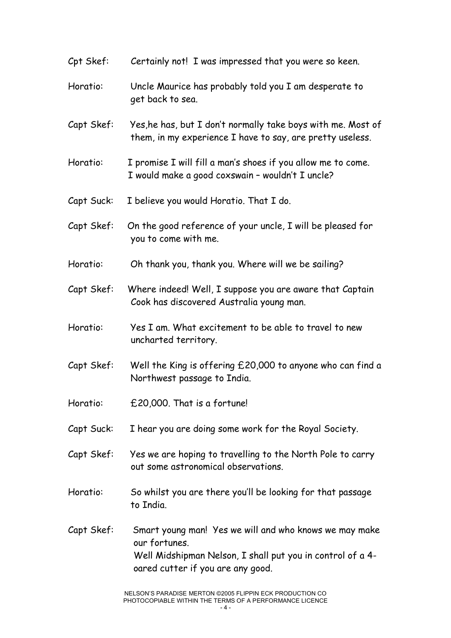| Cpt Skef:  | Certainly not! I was impressed that you were so keen.                                                                                                                      |
|------------|----------------------------------------------------------------------------------------------------------------------------------------------------------------------------|
| Horatio:   | Uncle Maurice has probably told you I am desperate to<br>get back to sea.                                                                                                  |
| Capt Skef: | Yes, he has, but I don't normally take boys with me. Most of<br>them, in my experience I have to say, are pretty useless.                                                  |
| Horatio:   | I promise I will fill a man's shoes if you allow me to come.<br>I would make a good coxswain - wouldn't I uncle?                                                           |
| Capt Suck: | I believe you would Horatio. That I do.                                                                                                                                    |
| Capt Skef: | On the good reference of your uncle, I will be pleased for<br>you to come with me.                                                                                         |
| Horatio:   | Oh thank you, thank you. Where will we be sailing?                                                                                                                         |
| Capt Skef: | Where indeed! Well, I suppose you are aware that Captain<br>Cook has discovered Australia young man.                                                                       |
| Horatio:   | Yes I am. What excitement to be able to travel to new<br>uncharted territory.                                                                                              |
| Capt Skef: | Well the King is offering £20,000 to anyone who can find a<br>Northwest passage to India.                                                                                  |
| Horatio:   | £20,000. That is a fortune!                                                                                                                                                |
| Capt Suck: | I hear you are doing some work for the Royal Society.                                                                                                                      |
| Capt Skef: | Yes we are hoping to travelling to the North Pole to carry<br>out some astronomical observations.                                                                          |
| Horatio:   | So whilst you are there you'll be looking for that passage<br>to India.                                                                                                    |
| Capt Skef: | Smart young man! Yes we will and who knows we may make<br>our fortunes.<br>Well Midshipman Nelson, I shall put you in control of a 4-<br>oared cutter if you are any good. |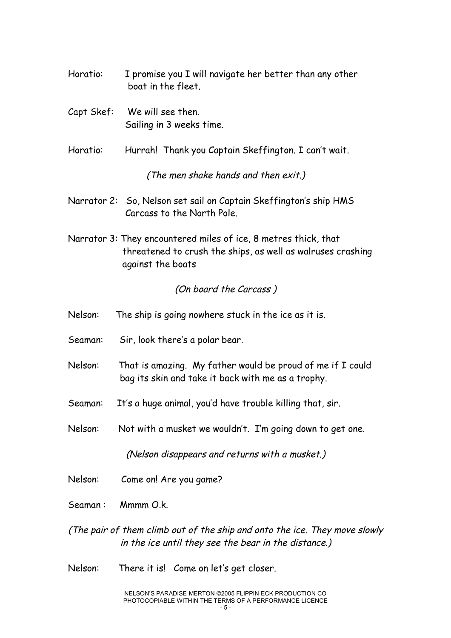- Horatio: I promise you I will navigate her better than any other boat in the fleet.
- Capt Skef: We will see then. Sailing in 3 weeks time.
- Horatio: Hurrah! Thank you Captain Skeffington. I can't wait.

(The men shake hands and then exit.)

- Narrator 2: So, Nelson set sail on Captain Skeffington's ship HMS Carcass to the North Pole.
- Narrator 3: They encountered miles of ice, 8 metres thick, that threatened to crush the ships, as well as walruses crashing against the boats

#### (On board the Carcass )

- Nelson: The ship is going nowhere stuck in the ice as it is.
- Seaman: Sir, look there's a polar bear.
- Nelson: That is amazing. My father would be proud of me if I could bag its skin and take it back with me as a trophy.
- Seaman: It's a huge animal, you'd have trouble killing that, sir.
- Nelson: Not with a musket we wouldn't. I'm going down to get one.

(Nelson disappears and returns with <sup>a</sup> musket.)

- Nelson: Come on! Are you game?
- Seaman : Mmmm O.k.
- (The pair of them climb out of the ship and onto the ice. They move slowly in the ice until they see the bear in the distance.)
- Nelson: There it is! Come on let's get closer.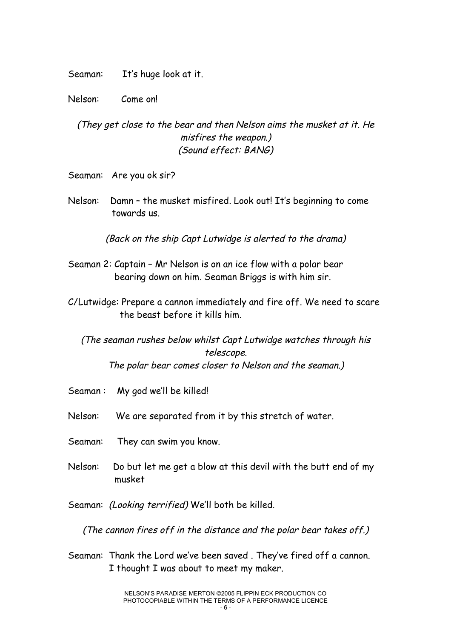Seaman: It's huge look at it.

Nelson: Come on!

(They get close to the bear and then Nelson aims the musket at it. He misfires the weapon.) (Sound effect: BANG)

Seaman: Are you ok sir?

Nelson: Damn - the musket misfired. Look out! It's beginning to come towards us.

(Back on the ship Capt Lutwidge is alerted to the drama)

- Seaman 2: Captain Mr Nelson is on an ice flow with a polar bear bearing down on him. Seaman Briggs is with him sir.
- C/Lutwidge: Prepare a cannon immediately and fire off. We need to scare the beast before it kills him.

(The seaman rushes below whilst Capt Lutwidge watches through his telescope. The polar bear comes closer to Nelson and the seaman.)

- Seaman : My god we'll be killed!
- Nelson: We are separated from it by this stretch of water.
- Seaman: They can swim you know.
- Nelson: Do but let me get a blow at this devil with the butt end of my musket

Seaman: (Looking terrified) We'll both be killed.

(The cannon fires off in the distance and the polar bear takes off.)

Seaman: Thank the Lord we've been saved . They've fired off a cannon. I thought I was about to meet my maker.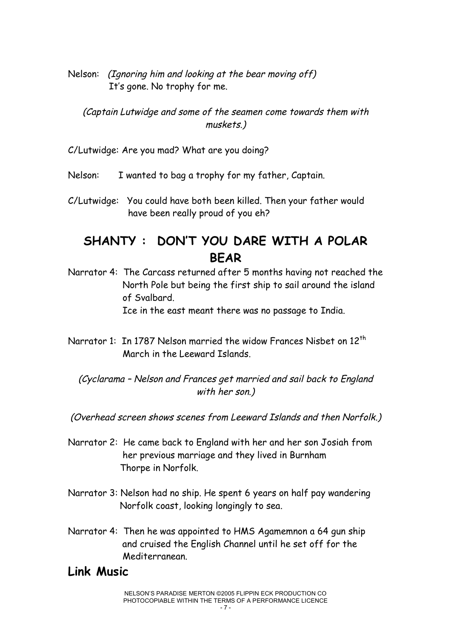Nelson: (Ignoring him and looking at the bear moving off) It's gone. No trophy for me.

(Captain Lutwidge and some of the seamen come towards them with muskets.)

C/Lutwidge: Are you mad? What are you doing?

Nelson: I wanted to bag a trophy for my father, Captain.

C/Lutwidge: You could have both been killed. Then your father would have been really proud of you eh?

### **SHANTY : DON'T YOU DARE WITH A POLAR BEAR**

- Narrator 4: The Carcass returned after 5 months having not reached the North Pole but being the first ship to sail around the island of Svalbard. Ice in the east meant there was no passage to India.
- Narrator 1: In 1787 Nelson married the widow Frances Nisbet on 12<sup>th</sup> March in the Leeward Islands.

(Cyclarama – Nelson and Frances get married and sail back to England with her son.)

(Overhead screen shows scenes from Leeward Islands and then Norfolk.)

- Narrator 2: He came back to England with her and her son Josiah from her previous marriage and they lived in Burnham Thorpe in Norfolk.
- Narrator 3: Nelson had no ship. He spent 6 years on half pay wandering Norfolk coast, looking longingly to sea.
- Narrator 4: Then he was appointed to HMS Agamemnon a 64 gun ship and cruised the English Channel until he set off for the Mediterranean.

### **Link Music**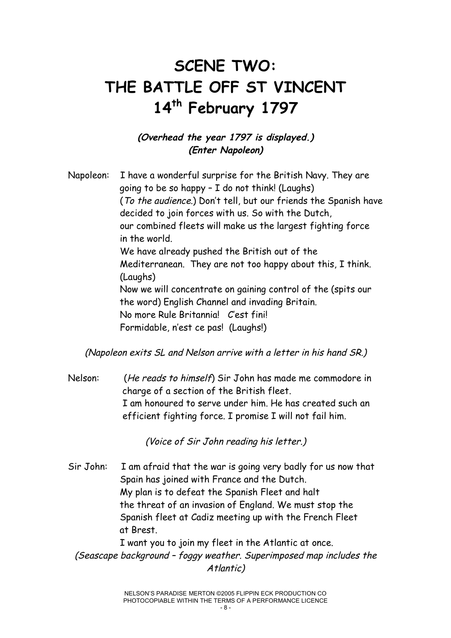# **SCENE TWO: THE BATTLE OFF ST VINCENT 14th February 1797**

### **(Overhead the year 1797 is displayed.) (Enter Napoleon)**

Napoleon: I have a wonderful surprise for the British Navy. They are going to be so happy – I do not think! (Laughs) (To the audience.) Don't tell, but our friends the Spanish have decided to join forces with us. So with the Dutch, our combined fleets will make us the largest fighting force in the world. We have already pushed the British out of the Mediterranean. They are not too happy about this, I think. (Laughs) Now we will concentrate on gaining control of the (spits our the word) English Channel and invading Britain. No more Rule Britannia! C'est fini! Formidable, n'est ce pas! (Laughs!)

(Napoleon exits SL and Nelson arrive with <sup>a</sup> letter in his hand SR.)

Nelson: (He reads to himself) Sir John has made me commodore in charge of a section of the British fleet. I am honoured to serve under him. He has created such an efficient fighting force. I promise I will not fail him.

(Voice of Sir John reading his letter.)

Sir John: I am afraid that the war is going very badly for us now that Spain has joined with France and the Dutch. My plan is to defeat the Spanish Fleet and halt the threat of an invasion of England. We must stop the Spanish fleet at Cadiz meeting up with the French Fleet at Brest.

I want you to join my fleet in the Atlantic at once. (Seascape background – foggy weather. Superimposed map includes the Atlantic)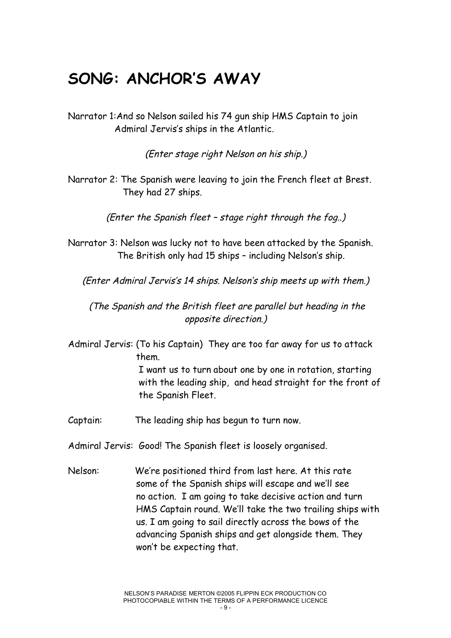### **SONG: ANCHOR'S AWAY**

Narrator 1:And so Nelson sailed his 74 gun ship HMS Captain to join Admiral Jervis's ships in the Atlantic.

(Enter stage right Nelson on his ship.)

Narrator 2: The Spanish were leaving to join the French fleet at Brest. They had 27 ships.

(Enter the Spanish fleet – stage right through the fog..)

Narrator 3: Nelson was lucky not to have been attacked by the Spanish. The British only had 15 ships – including Nelson's ship.

(Enter Admiral Jervis's 14 ships. Nelson's ship meets up with them.)

(The Spanish and the British fleet are parallel but heading in the opposite direction.)

Admiral Jervis: (To his Captain) They are too far away for us to attack them.

I want us to turn about one by one in rotation, starting with the leading ship, and head straight for the front of the Spanish Fleet.

Captain: The leading ship has begun to turn now.

Admiral Jervis: Good! The Spanish fleet is loosely organised.

Nelson: We're positioned third from last here. At this rate some of the Spanish ships will escape and we'll see no action. I am going to take decisive action and turn HMS Captain round. We'll take the two trailing ships with us. I am going to sail directly across the bows of the advancing Spanish ships and get alongside them. They won't be expecting that.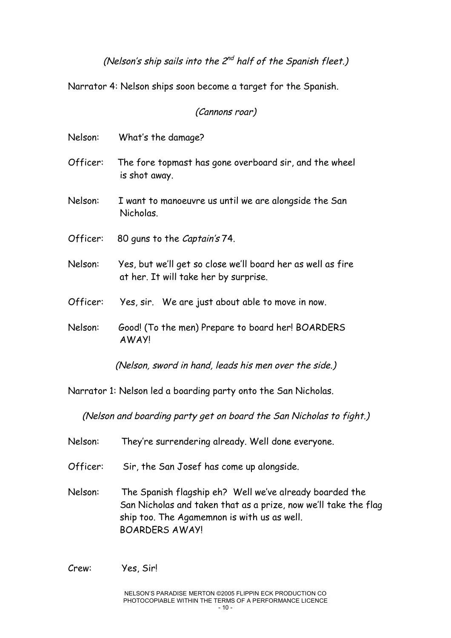(Nelson's ship sails into the  $2^{nd}$  half of the Spanish fleet.)

Narrator 4: Nelson ships soon become a target for the Spanish.

(Cannons roar)

| Nelson:  | What's the damage?                                                                                   |
|----------|------------------------------------------------------------------------------------------------------|
| Officer: | The fore topmast has gone overboard sir, and the wheel<br>is shot away.                              |
| Nelson:  | I want to manoeuvre us until we are alongside the San<br>Nicholas.                                   |
| Officer: | 80 quns to the Captain's 74.                                                                         |
| Nelson:  | Yes, but we'll get so close we'll board her as well as fire<br>at her. It will take her by surprise. |
| Officer: | Yes, sir. We are just about able to move in now.                                                     |
| Nelson:  | Good! (To the men) Prepare to board her! BOARDERS<br><b>AWAY!</b>                                    |
|          | (Nelson, sword in hand, leads his men over the side.)                                                |

Narrator 1: Nelson led a boarding party onto the San Nicholas.

(Nelson and boarding party get on board the San Nicholas to fight.)

- Nelson: They're surrendering already. Well done everyone.
- Officer: Sir, the San Josef has come up alongside.
- Nelson: The Spanish flagship eh? Well we've already boarded the San Nicholas and taken that as a prize, now we'll take the flag ship too. The Agamemnon is with us as well. BOARDERS AWAY!

Crew: Yes, Sir!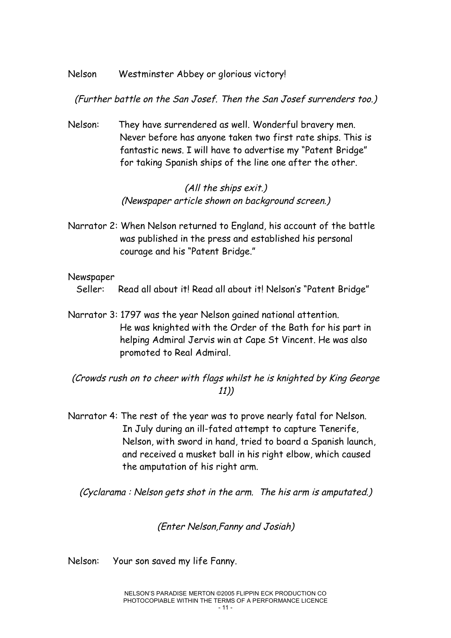#### Nelson Westminster Abbey or glorious victory!

#### (Further battle on the San Josef. Then the San Josef surrenders too.)

Nelson: They have surrendered as well. Wonderful bravery men. Never before has anyone taken two first rate ships. This is fantastic news. I will have to advertise my "Patent Bridge" for taking Spanish ships of the line one after the other.

#### (All the ships exit.) (Newspaper article shown on background screen.)

Narrator 2: When Nelson returned to England, his account of the battle was published in the press and established his personal courage and his "Patent Bridge."

#### Newspaper

Seller: Read all about it! Read all about it! Nelson's "Patent Bridge"

Narrator 3: 1797 was the year Nelson gained national attention. He was knighted with the Order of the Bath for his part in helping Admiral Jervis win at Cape St Vincent. He was also promoted to Real Admiral.

(Crowds rush on to cheer with flags whilst he is knighted by King George 11))

Narrator 4: The rest of the year was to prove nearly fatal for Nelson. In July during an ill-fated attempt to capture Tenerife, Nelson, with sword in hand, tried to board a Spanish launch, and received a musket ball in his right elbow, which caused the amputation of his right arm.

(Cyclarama : Nelson gets shot in the arm. The his arm is amputated.)

(Enter Nelson,Fanny and Josiah)

Nelson: Your son saved my life Fanny.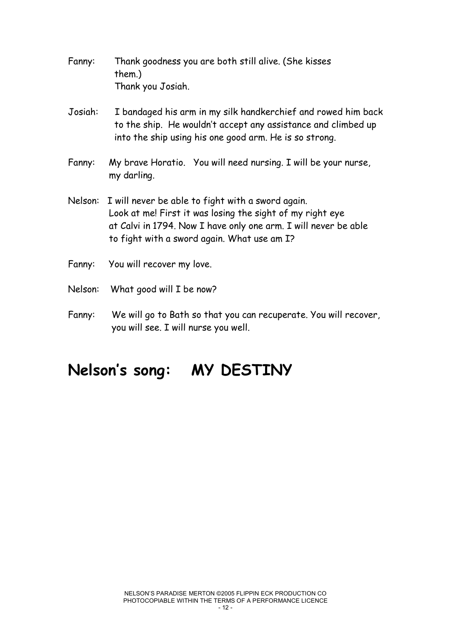- Fanny: Thank goodness you are both still alive. (She kisses them.) Thank you Josiah.
- Josiah: I bandaged his arm in my silk handkerchief and rowed him back to the ship. He wouldn't accept any assistance and climbed up into the ship using his one good arm. He is so strong.
- Fanny: My brave Horatio. You will need nursing. I will be your nurse, my darling.
- Nelson: I will never be able to fight with a sword again. Look at me! First it was losing the sight of my right eye at Calvi in 1794. Now I have only one arm. I will never be able to fight with a sword again. What use am I?
- Fanny: You will recover my love.
- Nelson: What good will I be now?
- Fanny: We will go to Bath so that you can recuperate. You will recover, you will see. I will nurse you well.

## **Nelson ' s song: MY DESTINY**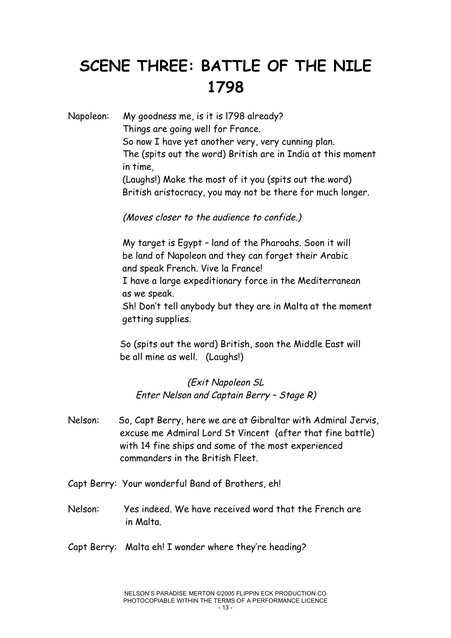# **SCENE THREE: BATTLE OF THE NILE 1798**

Napoleon: My goodness me, is it is l798 already? Things are going well for France. So now I have yet another very, very cunning plan. The (spits out the word) British are in India at this moment in time, (Laughs!) Make the most of it you (spits out the word) British aristocracy, you may not be there for much longer.

(Moves closer to the audience to confide.)

My target is Egypt – land of the Pharoahs. Soon it will be land of Napoleon and they can forget their Arabic and speak French. Vive la France!

I have a large expeditionary force in the Mediterranean as we speak.

Sh! Don't tell anybody but they are in Malta at the moment getting supplies.

So (spits out the word) British, soon the Middle East will be all mine as well. (Laughs!)

(Exit Napoleon SL Enter Nelson and Captain Berry – Stage R)

- Nelson: So, Capt Berry, here we are at Gibraltar with Admiral Jervis, excuse me Admiral Lord St Vincent (after that fine battle) with 14 fine ships and some of the most experienced commanders in the British Fleet.
- Capt Berry: Your wonderful Band of Brothers, eh!
- Nelson: Yes indeed. We have received word that the French are in Malta.
- Capt Berry: Malta eh! I wonder where they're heading?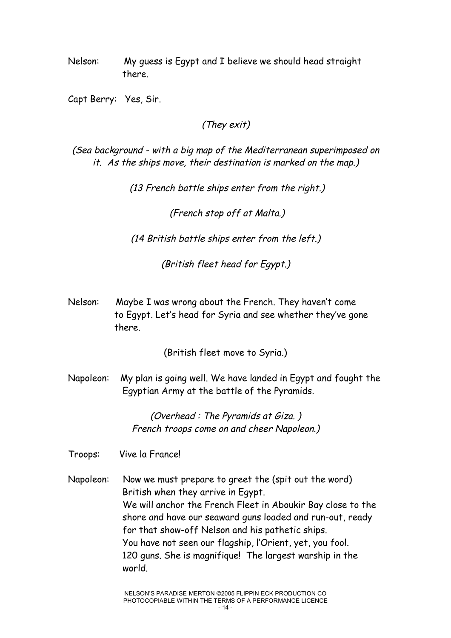Nelson: My guess is Egypt and I believe we should head straight there.

Capt Berry: Yes, Sir.

#### (They exit)

(Sea background - with <sup>a</sup> big map of the Mediterranean superimposed on it. As the ships move, their destination is marked on the map.)

(13 French battle ships enter from the right.)

(French stop off at Malta.)

(14 British battle ships enter from the left.)

(British fleet head for Egypt.)

Nelson: Maybe I was wrong about the French. They haven't come to Egypt. Let's head for Syria and see whether they've gone there.

(British fleet move to Syria.)

Napoleon: My plan is going well. We have landed in Egypt and fought the Egyptian Army at the battle of the Pyramids.

> (Overhead : The Pyramids at Giza. ) French troops come on and cheer Napoleon.)

Troops: Vive la France!

Napoleon: Now we must prepare to greet the (spit out the word) British when they arrive in Egypt. We will anchor the French Fleet in Aboukir Bay close to the shore and have our seaward guns loaded and run-out, ready for that show-off Nelson and his pathetic ships. You have not seen our flagship, l'Orient, yet, you fool. 120 guns. She is magnifique! The largest warship in the world.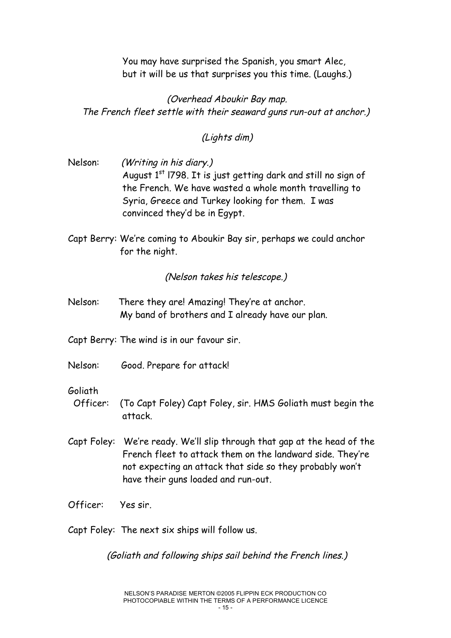You may have surprised the Spanish, you smart Alec, but it will be us that surprises you this time. (Laughs.)

(Overhead Aboukir Bay map. The French fleet settle with their seaward guns run-out at anchor.)

(Lights dim)

- Nelson: (Writing in his diary.) August  $1<sup>st</sup>$  1798. It is just getting dark and still no sign of the French. We have wasted a whole month travelling to Syria, Greece and Turkey looking for them. I was convinced they'd be in Egypt.
- Capt Berry: We're coming to Aboukir Bay sir, perhaps we could anchor for the night.

(Nelson takes his telescope.)

Nelson: There they are! Amazing! They're at anchor. My band of brothers and I already have our plan.

Capt Berry: The wind is in our favour sir.

Nelson: Good. Prepare for attack!

#### Goliath

- Officer: (To Capt Foley) Capt Foley, sir. HMS Goliath must begin the attack.
- Capt Foley: We're ready. We'll slip through that gap at the head of the French fleet to attack them on the landward side. They're not expecting an attack that side so they probably won't have their guns loaded and run-out.
- Officer: Yes sir.

Capt Foley: The next six ships will follow us.

(Goliath and following ships sail behind the French lines.)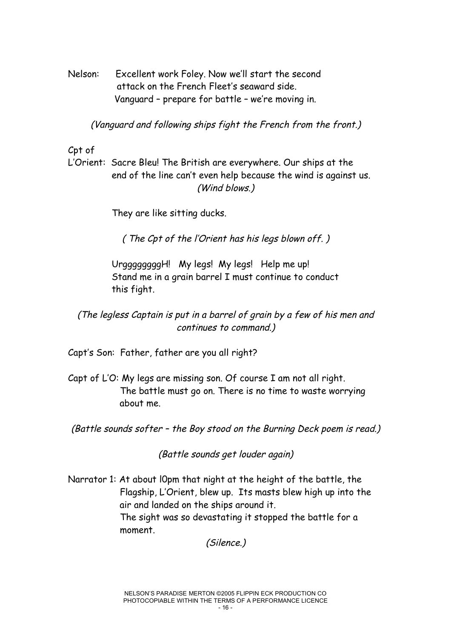Nelson: Excellent work Foley. Now we'll start the second attack on the French Fleet's seaward side. Vanguard – prepare for battle – we're moving in.

(Vanguard and following ships fight the French from the front.)

Cpt of

L'Orient: Sacre Bleu! The British are everywhere. Our ships at the end of the line can't even help because the wind is against us. (Wind blows.)

They are like sitting ducks.

( The Cpt of the l'Orient has his legs blown off. )

UrggggggggH! My legs! My legs! Help me up! Stand me in a grain barrel I must continue to conduct this fight.

(The legless Captain is put in <sup>a</sup> barrel of grain by <sup>a</sup> few of his men and continues to command.)

Capt's Son: Father, father are you all right?

Capt of L'O: My legs are missing son. Of course I am not all right. The battle must go on. There is no time to waste worrying about me.

(Battle sounds softer – the Boy stood on the Burning Deck poem is read.)

(Battle sounds get louder again)

Narrator 1: At about l0pm that night at the height of the battle, the Flagship, L'Orient, blew up. Its masts blew high up into the air and landed on the ships around it. The sight was so devastating it stopped the battle for a

moment.

(Silence.)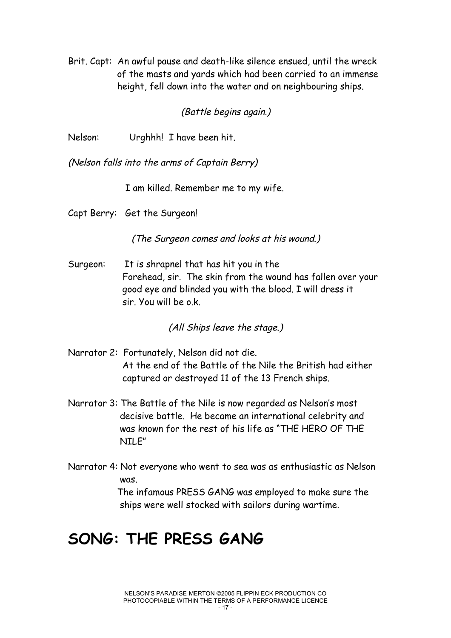Brit. Capt: An awful pause and death-like silence ensued, until the wreck of the masts and yards which had been carried to an immense height, fell down into the water and on neighbouring ships.

#### (Battle begins again.)

Nelson: Urghhh! I have been hit.

(Nelson falls into the arms of Captain Berry)

I am killed. Remember me to my wife.

Capt Berry: Get the Surgeon!

(The Surgeon comes and looks at his wound.)

Surgeon: It is shrapnel that has hit you in the Forehead, sir. The skin from the wound has fallen over your good eye and blinded you with the blood. I will dress it sir. You will be o.k.

(All Ships leave the stage.)

- Narrator 2: Fortunately, Nelson did not die. At the end of the Battle of the Nile the British had either captured or destroyed 11 of the 13 French ships.
- Narrator 3: The Battle of the Nile is now regarded as Nelson's most decisive battle. He became an international celebrity and was known for the rest of his life as "THE HERO OF THE NILE"
- Narrator 4: Not everyone who went to sea was as enthusiastic as Nelson was.

The infamous PRESS GANG was employed to make sure the ships were well stocked with sailors during wartime.

### **SONG: THE PRESS GANG**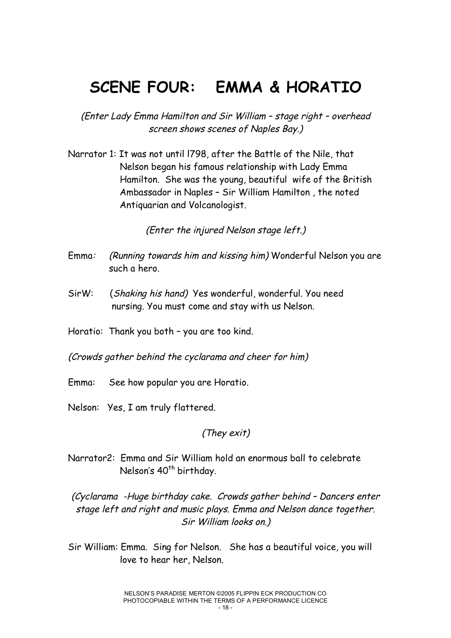### **SCENE FOUR: EMMA & HORATIO**

(Enter Lady Emma Hamilton and Sir William – stage right – overhead screen shows scenes of Naples Bay.)

Narrator 1: It was not until l798, after the Battle of the Nile, that Nelson began his famous relationship with Lady Emma Hamilton. She was the young, beautiful wife of the British Ambassador in Naples – Sir William Hamilton , the noted Antiquarian and Volcanologist.

(Enter the injured Nelson stage left.)

- Emma: (Running towards him and kissing him) Wonderful Nelson you are such a hero.
- SirW: (Shaking his hand) Yes wonderful, wonderful. You need nursing. You must come and stay with us Nelson.

Horatio: Thank you both – you are too kind.

(Crowds gather behind the cyclarama and cheer for him)

- Emma: See how popular you are Horatio.
- Nelson: Yes, I am truly flattered.

#### (They exit)

Narrator2: Emma and Sir William hold an enormous ball to celebrate Nelson's 40<sup>th</sup> birthday.

(Cyclarama -Huge birthday cake. Crowds gather behind – Dancers enter stage left and right and music plays. Emma and Nelson dance together. Sir William looks on.)

Sir William: Emma. Sing for Nelson. She has a beautiful voice, you will love to hear her, Nelson.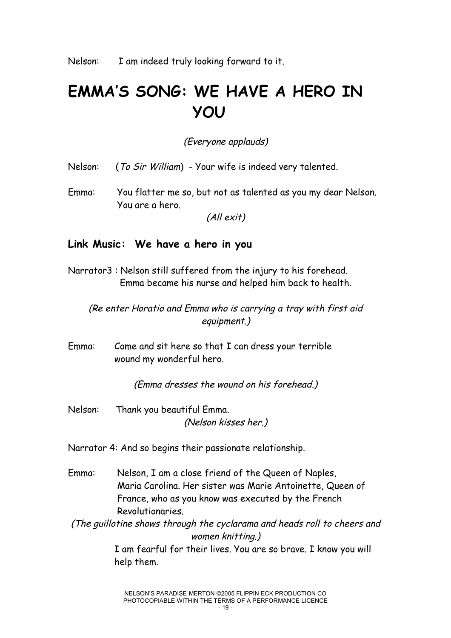# **EMMA'S SONG: WE HAVE A HERO IN YOU**

(Everyone applauds)

Nelson: (To Sir William) - Your wife is indeed very talented.

Emma: You flatter me so, but not as talented as you my dear Nelson. You are a hero.

(All exit)

#### **Link Music: We have a hero in you**

Narrator3 : Nelson still suffered from the injury to his forehead. Emma became his nurse and helped him back to health.

(Re enter Horatio and Emma who is carrying <sup>a</sup> tray with first aid equipment.)

Emma: Come and sit here so that I can dress your terrible wound my wonderful hero.

(Emma dresses the wound on his forehead.)

Nelson: Thank you beautiful Emma. (Nelson kisses her.)

Narrator 4: And so begins their passionate relationship.

Emma: Nelson, I am a close friend of the Queen of Naples, Maria Carolina. Her sister was Marie Antoinette, Queen of France, who as you know was executed by the French Revolutionaries.

(The guillotine shows through the cyclarama and heads roll to cheers and women knitting.)

> I am fearful for their lives. You are so brave. I know you will help them.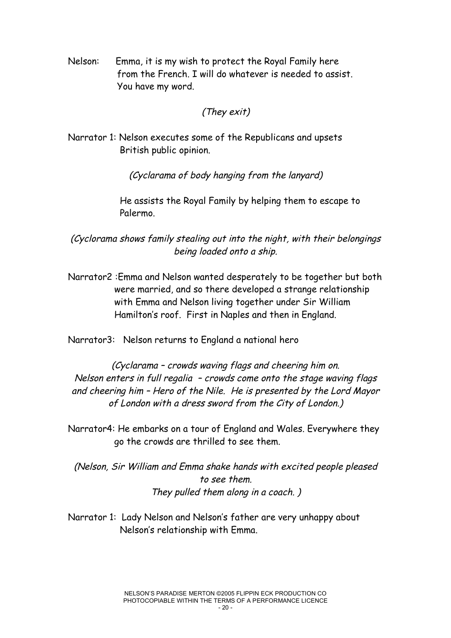Nelson: Emma, it is my wish to protect the Royal Family here from the French. I will do whatever is needed to assist. You have my word.

#### (They exit)

Narrator 1: Nelson executes some of the Republicans and upsets British public opinion.

(Cyclarama of body hanging from the lanyard)

He assists the Royal Family by helping them to escape to Palermo.

(Cyclorama shows family stealing out into the night, with their belongings being loaded onto <sup>a</sup> ship.

Narrator2 :Emma and Nelson wanted desperately to be together but both were married, and so there developed a strange relationship with Emma and Nelson living together under Sir William Hamilton's roof. First in Naples and then in England.

Narrator3: Nelson returns to England a national hero

(Cyclarama – crowds waving flags and cheering him on. Nelson enters in full regalia – crowds come onto the stage waving flags and cheering him – Hero of the Nile. He is presented by the Lord Mayor of London with <sup>a</sup> dress sword from the City of London.)

Narrator4: He embarks on a tour of England and Wales. Everywhere they go the crowds are thrilled to see them.

(Nelson, Sir William and Emma shake hands with excited people pleased to see them. They pulled them along in <sup>a</sup> coach. )

Narrator 1: Lady Nelson and Nelson's father are very unhappy about Nelson's relationship with Emma.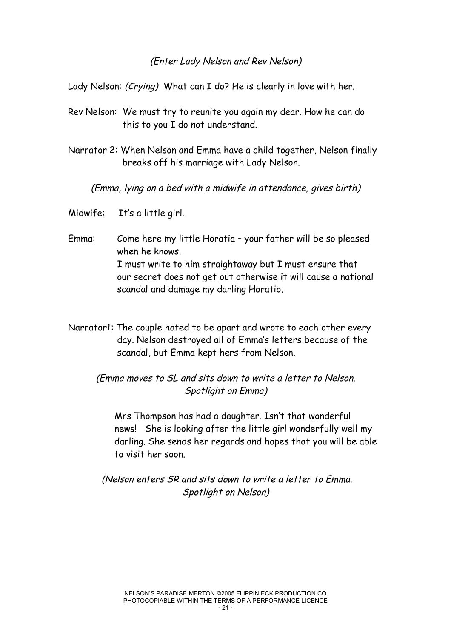#### (Enter Lady Nelson and Rev Nelson)

Lady Nelson: *(Crying)* What can I do? He is clearly in love with her.

- Rev Nelson: We must try to reunite you again my dear. How he can do this to you I do not understand.
- Narrator 2: When Nelson and Emma have a child together, Nelson finally breaks off his marriage with Lady Nelson.

(Emma, lying on <sup>a</sup> bed with <sup>a</sup> midwife in attendance, gives birth)

- Midwife: It's a little girl.
- Emma: Come here my little Horatia your father will be so pleased when he knows. I must write to him straightaway but I must ensure that our secret does not get out otherwise it will cause a national scandal and damage my darling Horatio.
- Narrator1: The couple hated to be apart and wrote to each other every day. Nelson destroyed all of Emma's letters because of the scandal, but Emma kept hers from Nelson.

(Emma moves to SL and sits down to write <sup>a</sup> letter to Nelson. Spotlight on Emma)

Mrs Thompson has had a daughter. Isn't that wonderful news! She is looking after the little girl wonderfully well my darling. She sends her regards and hopes that you will be able to visit her soon.

(Nelson enters SR and sits down to write <sup>a</sup> letter to Emma. Spotlight on Nelson)